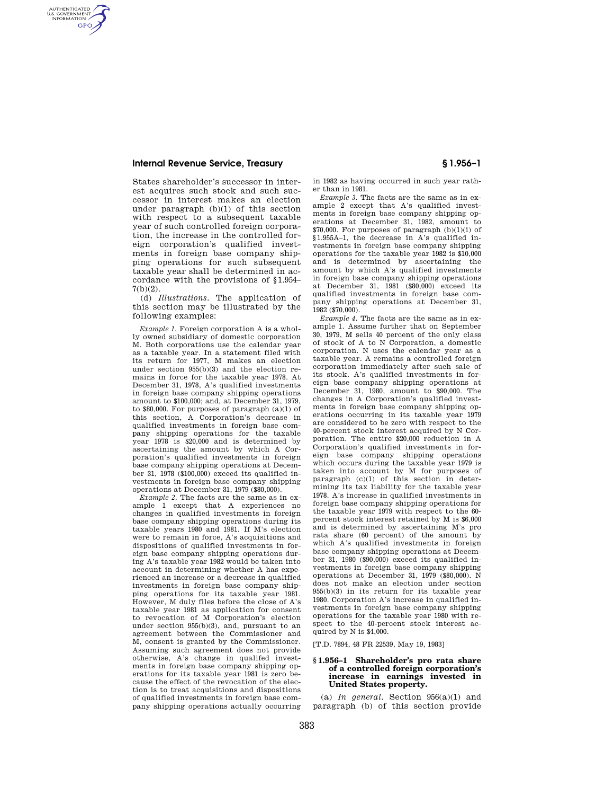# **Internal Revenue Service, Treasury § 1.956–1**

AUTHENTICATED<br>U.S. GOVERNMENT<br>INFORMATION **GPO** 

> States shareholder's successor in interest acquires such stock and such successor in interest makes an election under paragraph (b)(1) of this section with respect to a subsequent taxable year of such controlled foreign corporation, the increase in the controlled foreign corporation's qualified investments in foreign base company shipping operations for such subsequent taxable year shall be determined in accordance with the provisions of §1.954– 7(b)(2).

> (d) *Illustrations.* The application of this section may be illustrated by the following examples:

*Example 1.* Foreign corporation A is a wholly owned subsidiary of domestic corporation M. Both corporations use the calendar year as a taxable year. In a statement filed with its return for 1977, M makes an election under section 955(b)(3) and the election remains in force for the taxable year 1978. At December 31, 1978, A's qualified investments in foreign base company shipping operations amount to \$100,000; and, at December 31, 1979, to \$80,000. For purposes of paragraph (a)(1) of this section, A Corporation's decrease in qualified investments in foreign base company shipping operations for the taxable year 1978 is \$20,000 and is determined by ascertaining the amount by which A Corporation's qualified investments in foreign base company shipping operations at December 31, 1978 (\$100,000) exceed its qualified investments in foreign base company shipping operations at December 31, 1979 (\$80,000).

*Example 2.* The facts are the same as in example 1 except that A experiences no changes in qualified investments in foreign base company shipping operations during its taxable years 1980 and 1981. If M's election were to remain in force, A's acquisitions and dispositions of qualified investments in foreign base company shipping operations during A's taxable year 1982 would be taken into account in determining whether A has experienced an increase or a decrease in qualified investments in foreign base company shipping operations for its taxable year 1981. However, M duly files before the close of A's taxable year 1981 as application for consent to revocation of M Corporation's election under section 955(b)(3), and, pursuant to an agreement between the Commissioner and M, consent is granted by the Commissioner. Assuming such agreement does not provide otherwise, A's change in qualifed investments in foreign base company shipping operations for its taxable year 1981 is zero because the effect of the revocation of the election is to treat acquisitions and dispositions of qualified investments in foreign base company shipping operations actually occurring

in 1982 as having occurred in such year rather than in 1981.

*Example 3.* The facts are the same as in example 2 except that A's qualified investments in foreign base company shipping operations at December 31, 1982, amount to  $$70,000$ . For purposes of paragraph (b)(1)(i) of §1.955A–1, the decrease in A's qualified investments in foreign base company shipping operations for the taxable year 1982 is \$10,000 and is determined by ascertaining the amount by which A's qualified investments in foreign base company shipping operations at December 31, 1981 (\$80,000) exceed its qualified investments in foreign base company shipping operations at December 31,  $1982(1570,000)$ .

*Example 4.* The facts are the same as in example 1. Assume further that on September 30, 1979, M sells 40 percent of the only class of stock of A to N Corporation, a domestic corporation. N uses the calendar year as a taxable year. A remains a controlled foreign corporation immediately after such sale of its stock. A's qualified investments in foreign base company shipping operations at December 31, 1980, amount to \$90,000. The changes in A Corporation's qualified investments in foreign base company shipping operations occurring in its taxable year 1979 are considered to be zero with respect to the 40-percent stock interest acquired by N Corporation. The entire \$20,000 reduction in A Corporation's qualified investments in foreign base company shipping operations which occurs during the taxable year 1979 is taken into account by M for purposes of paragraph (c)(1) of this section in determining its tax liability for the taxable year 1978. A's increase in qualified investments in foreign base company shipping operations for the taxable year 1979 with respect to the 60 percent stock interest retained by M is \$6,000 and is determined by ascertaining M's pro rata share (60 percent) of the amount by which A's qualified investments in foreign base company shipping operations at December 31, 1980 (\$90,000) exceed its qualified investments in foreign base company shipping operations at December 31, 1979 (\$80,000). N does not make an election under section 955(b)(3) in its return for its taxable year 1980. Corporation A's increase in qualified investments in foreign base company shipping operations for the taxable year 1980 with respect to the 40-percent stock interest acquired by N is \$4,000.

[T.D. 7894, 48 FR 22539, May 19, 1983]

### **§ 1.956–1 Shareholder's pro rata share of a controlled foreign corporation's increase in earnings invested in United States property.**

(a) *In general.* Section 956(a)(1) and paragraph (b) of this section provide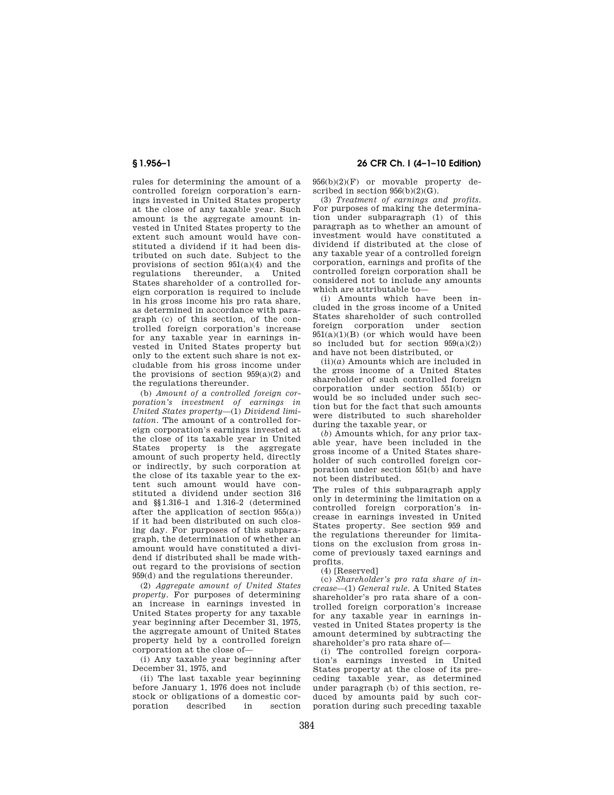rules for determining the amount of a controlled foreign corporation's earnings invested in United States property at the close of any taxable year. Such amount is the aggregate amount invested in United States property to the extent such amount would have constituted a dividend if it had been distributed on such date. Subject to the provisions of section  $951(a)(4)$  and the regulations thereunder, a United States shareholder of a controlled foreign corporation is required to include in his gross income his pro rata share, as determined in accordance with paragraph (c) of this section, of the controlled foreign corporation's increase for any taxable year in earnings invested in United States property but only to the extent such share is not excludable from his gross income under the provisions of section  $959(a)(2)$  and the regulations thereunder.

(b) *Amount of a controlled foreign corporation's investment of earnings in United States property*—(1) *Dividend limitation.* The amount of a controlled foreign corporation's earnings invested at the close of its taxable year in United States property is the aggregate amount of such property held, directly or indirectly, by such corporation at the close of its taxable year to the extent such amount would have constituted a dividend under section 316 and §§1.316–1 and 1.316–2 (determined after the application of section 955(a)) if it had been distributed on such closing day. For purposes of this subparagraph, the determination of whether an amount would have constituted a dividend if distributed shall be made without regard to the provisions of section 959(d) and the regulations thereunder.

(2) *Aggregate amount of United States property.* For purposes of determining an increase in earnings invested in United States property for any taxable year beginning after December 31, 1975, the aggregate amount of United States property held by a controlled foreign corporation at the close of—

(i) Any taxable year beginning after December 31, 1975, and

(ii) The last taxable year beginning before January 1, 1976 does not include stock or obligations of a domestic cor-<br>noration described in section described

**§ 1.956–1 26 CFR Ch. I (4–1–10 Edition)** 

956(b)(2)(F) or movable property described in section  $956(b)(2)(G)$ .

(3) *Treatment of earnings and profits.*  For purposes of making the determination under subparagraph (1) of this paragraph as to whether an amount of investment would have constituted a dividend if distributed at the close of any taxable year of a controlled foreign corporation, earnings and profits of the controlled foreign corporation shall be considered not to include any amounts which are attributable to—

(i) Amounts which have been included in the gross income of a United States shareholder of such controlled foreign corporation under section  $951(a)(1)(B)$  (or which would have been so included but for section 959(a)(2)) and have not been distributed, or

 $(iii)(a)$  Amounts which are included in the gross income of a United States shareholder of such controlled foreign corporation under section 551(b) or would be so included under such section but for the fact that such amounts were distributed to such shareholder during the taxable year, or

(*b*) Amounts which, for any prior taxable year, have been included in the gross income of a United States shareholder of such controlled foreign corporation under section 551(b) and have not been distributed.

The rules of this subparagraph apply only in determining the limitation on a controlled foreign corporation's increase in earnings invested in United States property. See section 959 and the regulations thereunder for limitations on the exclusion from gross income of previously taxed earnings and profits.

(4) [Reserved]

(c) *Shareholder's pro rata share of increase*—(1) *General rule.* A United States shareholder's pro rata share of a controlled foreign corporation's increase for any taxable year in earnings invested in United States property is the amount determined by subtracting the shareholder's pro rata share of—

(i) The controlled foreign corporation's earnings invested in United States property at the close of its preceding taxable year, as determined under paragraph (b) of this section, reduced by amounts paid by such corporation during such preceding taxable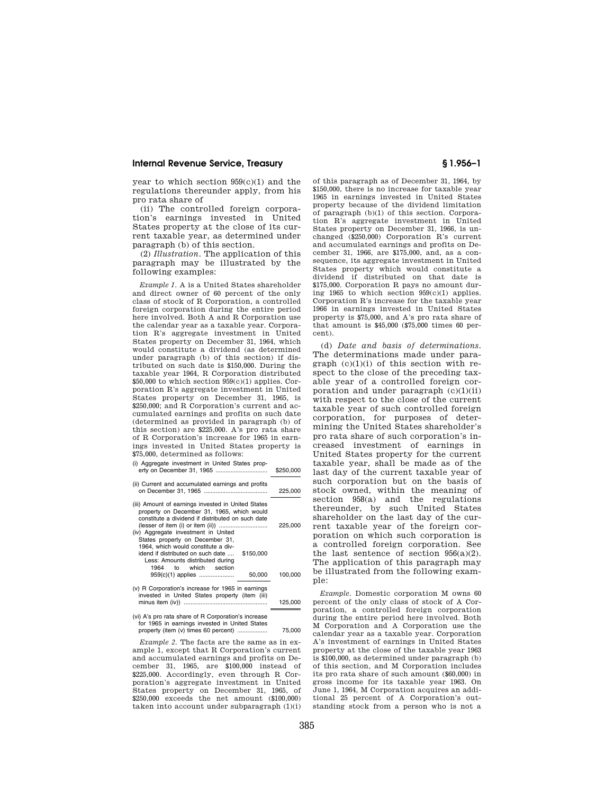## **Internal Revenue Service, Treasury § 1.956–1**

year to which section 959(c)(1) and the regulations thereunder apply, from his pro rata share of

(ii) The controlled foreign corporation's earnings invested in United States property at the close of its current taxable year, as determined under paragraph (b) of this section.

(2) *Illustration.* The application of this paragraph may be illustrated by the following examples:

*Example 1.* A is a United States shareholder and direct owner of 60 percent of the only class of stock of R Corporation, a controlled foreign corporation during the entire period here involved. Both A and R Corporation use the calendar year as a taxable year. Corporation R's aggregate investment in United States property on December 31, 1964, which would constitute a dividend (as determined under paragraph (b) of this section) if distributed on such date is \$150,000. During the taxable year 1964, R Corporation distributed  $$50,000$  to which section  $959(c)(1)$  applies. Corporation R's aggregate investment in United States property on December 31, 1965, is \$250,000; and R Corporation's current and accumulated earnings and profits on such date (determined as provided in paragraph (b) of this section) are \$225,000. A's pro rata share of R Corporation's increase for 1965 in earnings invested in United States property is \$75,000, determined as follows:

- (i) Aggregate investment in United States property on December 31, 1965 ............................... \$250,000
- (ii) Current and accumulated earnings and profits on December 31, 1965 ...................................... 225,000 (iii) Amount of earnings invested in United States property on December 31, 1965, which would
- constitute a dividend if distributed on such date (lesser of item (i) or item (ii)) ............................. 225,000 (iv) Aggregate investment in United States property on December 31, 1964, which would constitute a dividend if distributed on such date .... \$150,000 Less: Amounts distributed during<br>1964 to which section to which section 959(c)(1) applies ..................... 50,000 100,000 (v) R Corporation's increase for 1965 in earnings invested in United States property (item (iii)
- minus item (iv)) .................................................. 125,000 (vi) A's pro rata share of R Corporation's increase

for 1965 in earnings invested in United States property (item (v) times 60 percent) .................. 75,000

*Example 2.* The facts are the same as in example 1, except that R Corporation's current and accumulated earnings and profits on December 31, 1965, are \$100,000 instead of \$225,000. Accordingly, even through R Corporation's aggregate investment in United States property on December 31, 1965, of \$250,000 exceeds the net amount (\$100,000) taken into account under subparagraph (1)(i) of this paragraph as of December 31, 1964, by \$150,000, there is no increase for taxable year 1965 in earnings invested in United States property because of the dividend limitation of paragraph (b)(1) of this section. Corporation R's aggregate investment in United States property on December 31, 1966, is unchanged (\$250,000) Corporation R's current and accumulated earnings and profits on December 31, 1966, are \$175,000, and, as a consequence, its aggregate investment in United States property which would constitute a dividend if distributed on that date is \$175,000. Corporation R pays no amount during 1965 to which section 959(c)(1) applies. Corporation R's increase for the taxable year 1966 in earnings invested in United States property is \$75,000, and A's pro rata share of that amount is \$45,000 (\$75,000 times 60 percent).

(d) *Date and basis of determinations.*  The determinations made under paragraph  $(c)(1)(i)$  of this section with respect to the close of the preceding taxable year of a controlled foreign corporation and under paragraph  $(c)(1)(ii)$ with respect to the close of the current taxable year of such controlled foreign corporation, for purposes of determining the United States shareholder's pro rata share of such corporation's increased investment of earnings in United States property for the current taxable year, shall be made as of the last day of the current taxable year of such corporation but on the basis of stock owned, within the meaning of section 958(a) and the regulations thereunder, by such United States shareholder on the last day of the current taxable year of the foreign corporation on which such corporation is a controlled foreign corporation. See the last sentence of section  $956(a)(2)$ . The application of this paragraph may be illustrated from the following example:

*Example.* Domestic corporation M owns 60 percent of the only class of stock of A Corporation, a controlled foreign corporation during the entire period here involved. Both M Corporation and A Corporation use the calendar year as a taxable year. Corporation A's investment of earnings in United States property at the close of the taxable year 1963 is \$100,000, as determined under paragraph (b) of this section, and M Corporation includes its pro rata share of such amount (\$60,000) in gross income for its taxable year 1963. On June 1, 1964, M Corporation acquires an additional 25 percent of A Corporation's outstanding stock from a person who is not a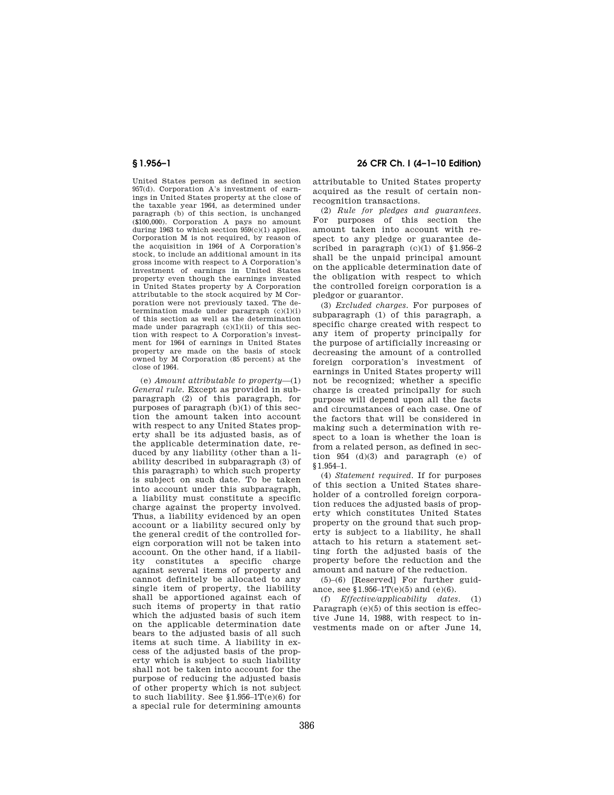United States person as defined in section 957(d). Corporation A's investment of earnings in United States property at the close of the taxable year 1964, as determined under paragraph (b) of this section, is unchanged (\$100,000). Corporation A pays no amount during 1963 to which section 959(c)(1) applies. Corporation M is not required, by reason of the acquisition in 1964 of A Corporation's stock, to include an additional amount in its gross income with respect to A Corporation's investment of earnings in United States property even though the earnings invested in United States property by A Corporation attributable to the stock acquired by M Corporation were not previously taxed. The determination made under paragraph (c)(1)(i) of this section as well as the determination made under paragraph  $(c)(1)(ii)$  of this section with respect to A Corporation's investment for 1964 of earnings in United States property are made on the basis of stock owned by M Corporation (85 percent) at the close of 1964.

(e) *Amount attributable to property*—(1) *General rule.* Except as provided in subparagraph (2) of this paragraph, for purposes of paragraph (b)(1) of this section the amount taken into account with respect to any United States property shall be its adjusted basis, as of the applicable determination date, reduced by any liability (other than a liability described in subparagraph (3) of this paragraph) to which such property is subject on such date. To be taken into account under this subparagraph, a liability must constitute a specific charge against the property involved. Thus, a liability evidenced by an open account or a liability secured only by the general credit of the controlled foreign corporation will not be taken into account. On the other hand, if a liability constitutes a specific charge against several items of property and cannot definitely be allocated to any single item of property, the liability shall be apportioned against each of such items of property in that ratio which the adjusted basis of such item on the applicable determination date bears to the adjusted basis of all such items at such time. A liability in excess of the adjusted basis of the property which is subject to such liability shall not be taken into account for the purpose of reducing the adjusted basis of other property which is not subject to such liability. See  $$1.956-1T(e)(6)$  for a special rule for determining amounts

**§ 1.956–1 26 CFR Ch. I (4–1–10 Edition)** 

attributable to United States property acquired as the result of certain nonrecognition transactions.

(2) *Rule for pledges and guarantees.*  For purposes of this section the amount taken into account with respect to any pledge or guarantee described in paragraph  $(c)(1)$  of  $$1.956-2$ shall be the unpaid principal amount on the applicable determination date of the obligation with respect to which the controlled foreign corporation is a pledgor or guarantor.

(3) *Excluded charges.* For purposes of subparagraph (1) of this paragraph, a specific charge created with respect to any item of property principally for the purpose of artificially increasing or decreasing the amount of a controlled foreign corporation's investment of earnings in United States property will not be recognized; whether a specific charge is created principally for such purpose will depend upon all the facts and circumstances of each case. One of the factors that will be considered in making such a determination with respect to a loan is whether the loan is from a related person, as defined in section 954 (d)(3) and paragraph (e) of §1.954–1.

(4) *Statement required.* If for purposes of this section a United States shareholder of a controlled foreign corporation reduces the adjusted basis of property which constitutes United States property on the ground that such property is subject to a liability, he shall attach to his return a statement setting forth the adjusted basis of the property before the reduction and the amount and nature of the reduction.

(5)–(6) [Reserved] For further guidance, see §1.956–1T(e)(5) and (e)(6).

(f) *Effective/applicability dates*. (1) Paragraph (e)(5) of this section is effective June 14, 1988, with respect to investments made on or after June 14,